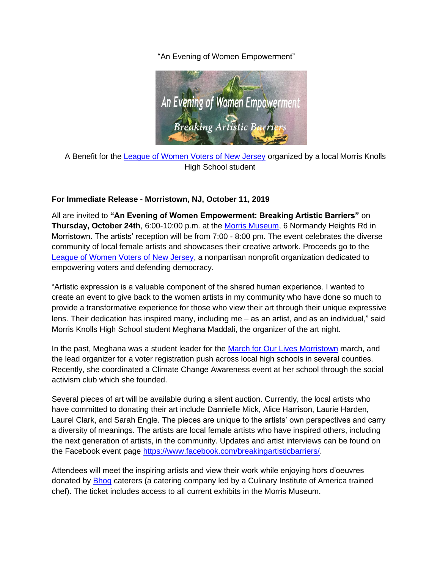"An Evening of Women Empowerment"



A Benefit for the [League of Women Voters of New Jersey](https://www.lwvnj.org/) organized by a local Morris Knolls High School student

## **For Immediate Release - Morristown, NJ, October 11, 2019**

All are invited to **"An Evening of Women Empowerment: Breaking Artistic Barriers"** on **Thursday, October 24th**, 6:00-10:00 p.m. at the [Morris Museum,](https://morrismuseum.org/) 6 Normandy Heights Rd in Morristown. The artists' reception will be from 7:00 - 8:00 pm. The event celebrates the diverse community of local female artists and showcases their creative artwork. Proceeds go to the [League of Women Voters of New Jersey,](https://www.lwvnj.org/) a nonpartisan nonprofit organization dedicated to empowering voters and defending democracy.

"Artistic expression is a valuable component of the shared human experience. I wanted to create an event to give back to the women artists in my community who have done so much to provide a transformative experience for those who view their art through their unique expressive lens. Their dedication has inspired many, including me – as an artist, and as an individual," said Morris Knolls High School student Meghana Maddali, the organizer of the art night.

In the past, Meghana was a student leader for the [March for Our Lives Morristown](https://www.facebook.com/MarchforOurLivesatMorristown/) march, and the lead organizer for a voter registration push across local high schools in several counties. Recently, she coordinated a Climate Change Awareness event at her school through the social activism club which she founded.

Several pieces of art will be available during a silent auction. Currently, the local artists who have committed to donating their art include Dannielle Mick, Alice Harrison, Laurie Harden, Laurel Clark, and Sarah Engle. The pieces are unique to the artists' own perspectives and carry a diversity of meanings. The artists are local female artists who have inspired others, including the next generation of artists, in the community. Updates and artist interviews can be found on the Facebook event page [https://www.facebook.com/breakingartisticbarriers/.](https://www.facebook.com/breakingartisticbarriers/)

Attendees will meet the inspiring artists and view their work while enjoying hors d'oeuvres donated by [Bhog](http://www.bhognj.com/Default.aspx) caterers (a catering company led by a Culinary Institute of America trained chef). The ticket includes access to all current exhibits in the Morris Museum.